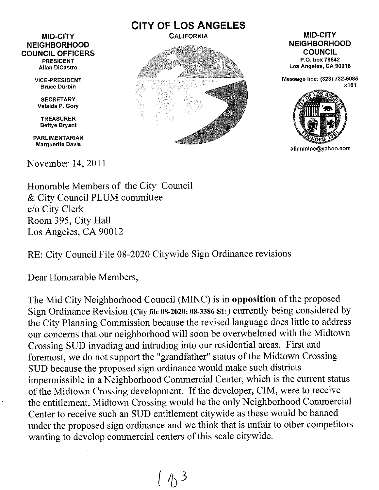## MID-CITY **NEIGHBORHOOD** COUNCIL OFFICERS PRESIDENT Allan DiCastro

VICE-PRESIDENT Bruce Durbin

**SECRETARY** Valaida P. Gory

TREASURER Bettye Bryant

PARLIMENTARIAN Marguerite Davis

November 14, 2011





Message line: (323) 732-5085 x101



allanminc@yahoo.com

Honorable Members of the City Council & City Council PLUM committee c/o City Clerk Room 395, City Hall Los Angeles, CA 90012

RE: City Council File 08-2020 Citywide Sign Ordinance revisions

Dear Honoarable Members,

The Mid City Neighborhood Council (MINC) is in opposition of the proposed Sign Ordinance Revision (City file 08-2020; 08-3386-Sl:) currently being considered by the City Planning Commission because the revised language does little to address our concerns that our neighborhood will soon be overwhelmed with the Midtown Crossing SUD invading and intruding into our residential areas. First and foremost, we do not support the "grandfather" status of the Midtown Crossing SUD because the proposed sign ordinance would make such districts impermissible in a Neighborhood Commercial Center, which is the current status of the Midtown Crossing development. If the developer, CIM, were to receive the entitlement, Midtown Crossing would be the only Neighborhood Commercial Center to receive such an SUD entitlement citywide as these would be banned under the proposed sign ordinance and we think that is unfair to other competitors wanting to develop commercial centers of this scale citywide.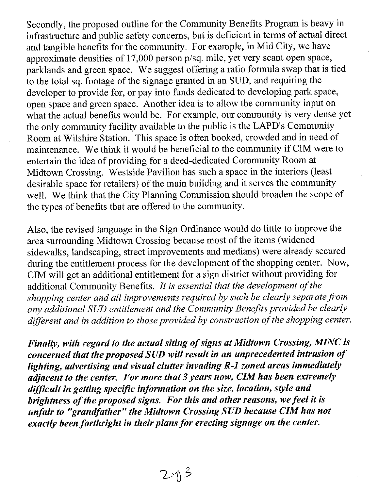Secondly, the proposed outline for the Community Benefits Program is heavy in infrastructure and public safety concerns, but is deficient in terms of actual direct and tangible benefits for the community. For example, in Mid City, we have approximate densities of 17,000 person p/sq. mile, yet very scant open space, parklands and green space. We suggest offering a ratio formula swap that is tied to the total sq. footage of the signage granted in an SUD, and requiring the developer to provide for, or pay into funds dedicated to developing park space, open space and green space. Another idea is to allow the community input on what the actual benefits would be. For example, our community is very dense yet the only community facility available to the public is the LAPD's Community Room at Wilshire Station. This space is often booked, crowded and in need of maintenance. We think it would be beneficial to the community if CIM were to entertain the idea of providing for a deed-dedicated Community Room at Midtown Crossing. Westside Pavilion has such a space in the interiors (least desirable space for retailers) of the main building and it serves the community well. We think that the City Planning Commission should broaden the scope of the types of benefits that are offered to the community.

Also, the revised language in the Sign Ordinance would do little to improve the area surrounding Midtown Crossing because most of the items (widened sidewalks, landscaping, street improvements and medians) were already secured during the entitlement process for the development of the shopping center. Now, CIM will get an additional entitlement for a sign district without providing for additional Community Benefits. *It is essential that the development of the shopping center and all improvements required by such be clearly separate from any additional SUD entitlement and the Community Benefits provided be clearly different and in addition to those provided by construction of the shopping center.* 

*Finally, with regard to the actual siting of signs at Midtown Crossing, MINC is concerned that the proposed SUD will result in an unprecedented intrusion of lighting, advertising and visual clutter invading R-1 zoned areas immediately adjacent to the center. For more that 3 years now, CIM has been extremely difficult in getting specific information on the size, location, style and brightness of the proposed signs. For this and other reasons, we feel it is unfair to "grandfather" the Midtown Crossing SUD because CIM has not exactly been forthright in their plans for erecting signage on the center.*